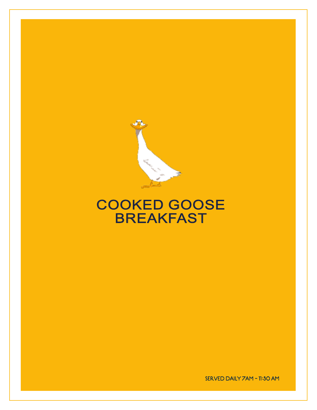

# COOKED GOOSE **BREAKFAST**

SERVED DAILY 7AM - 11:30 AM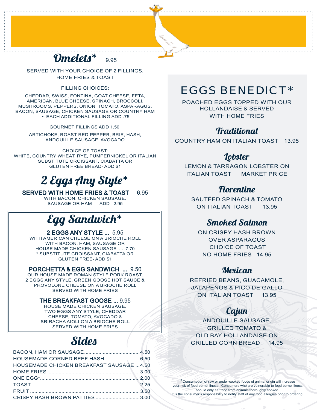

SERVED WITH YOUR CHOICE OF 2 FILLINGS, HOME FRIES & TOAST

#### FILLING CHOICES:

CHEDDAR, SWISS, FONTINA, GOAT CHEESE, FETA, AMERICAN, BLUE CHEESE, SPINACH, BROCCOLI, MUSHROOMS, PEPPERS, ONION, TOMATO, ASPARAGUS, BACON, SAUSAGE, CHICKEN SAUSAGE OR COUNTRY HAM • EACH ADDITIONAL FILLING ADD .75

GOURMET FILLINGS ADD 1.50:

ARTICHOKE, ROAST RED PEPPER, BRIE, HASH, ANDOUILLE SAUSAGE, AVOCADO

CHOICE OF TOAST: WHITE, COUNTRY WHEAT, RYE, PUMPERNICKEL OR ITALIAN SUBSTITUTE CROISSANT, CIABATTA OR GLUTEN FREE BREAD- ADD \$1

# 2 Eggs Any Style\*

SERVED WITH HOME FRIES & TOAST 6.95 WITH BACON, CHICKEN SAUSAGE, SAUSAGE OR HAM ADD 2.95

# Egg Sandwich\*

### 2 EGGS ANY STYLE ... 5.95

WITH AMERICAN CHEESE ON A BRIOCHE ROLL WITH BACON, HAM, SAUSAGE OR HOUSE MADE CHICKEN SAUSAGE ... 7.70 \* SUBSTITUTE CROISSANT, CIABATTA OR GLUTEN FREE- ADD \$1

PORCHETTA & EGG SANDWICH ... 9.50 OUR HOUSE MADE ROMAN STYLE PORK ROAST, 2 EGGS ANY STYLE, GREEN GOOSE HOT SAUCE & PROVOLONE CHEESE ON A BRIOCHE ROLL SERVED WITH HOME FRIES

> THE BREAKFAST GOOSE ... 9.95 HOUSE MADE CHICKEN SAUSAGE, TWO EGGS ANY STYLE, CHEDDAR CHEESE, TOMATO, AVOCADO & SRIRACHA AIOLI ON A BRIOCHE ROLL SERVED WITH HOME FRIES

| <b>HOUSEMADE CHICKEN BREAKFAST SAUSAGE 4.50</b> |  |
|-------------------------------------------------|--|
|                                                 |  |
|                                                 |  |
|                                                 |  |
|                                                 |  |
| CRISPY HASH BROWN PATTIES 3.00                  |  |
|                                                 |  |

## EGGS BENEDICT\*

POACHED EGGS TOPPED WITH OUR HOLLANDAISE & SERVED WITH HOME FRIES

### **Traditional**

COUNTRY HAM ON ITALIAN TOAST 13.95

### Lobster

LEMON & TARRAGON LOBSTER ON ITALIAN TOAST MARKET PRICE

### **Florentine**

SAUTÉED SPINACH & TOMATO ON ITALIAN TOAST 13.95

### Smoked Salmon

ON CRISPY HASH BROWN OVER ASPARAGUS CHOICE OF TOAST NO HOME FRIES 14.95

### **Mexican**

REFRIED BEANS, GUACAMOLE, JALAPEÑOS & PICO DE GALLO ON ITALIAN TOAST 13.95

### Cajun

ANDOUILLE SAUSAGE, GRILLED TOMATO & **Sides** OLD BAY HOLLANDAISE ON GRILLED CORN BREAD 14.95

> \*Consumption of raw or under-cooked foods of animal origin will increase your risk of food borne illness. Consumers who are vulnerable to food borne illness should only eat food from animals thoroughly cooked. It is the consumer's responsibility to notify staff of any food allergies prior to ordering.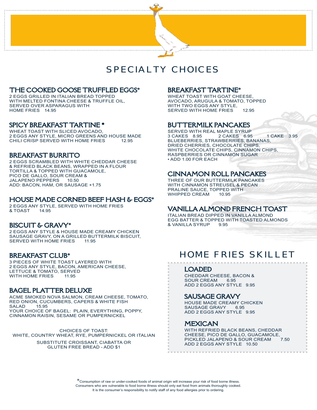### SPECIALTY CHOICES

∕`o

#### THE COOKED GOOSE TRUFFLED EGGS\*

2 EGGS GRILLED IN ITALIAN BREAD TOPPED WITH MELTED FONTINA CHEESE & TRUFFLE OIL, SERVED OVER ASPARAGUS WITH HOME FRIES 14.95

#### SPICY BREAKFAST TARTINE \*

WHEAT TOAST WITH SLICED AVOCADO, 2 EGGS ANY STYLE, MICRO GREENS AND HOUSE MADE<br>CHILI CRISP SERVED WITH HOME FRIES 12.95 CHILI CRISP SERVED WITH HOME FRIES

#### BREAKFAST BURRITO

2 EGGS SCRAMBLED WITH WHITE CHEDDAR CHEESE & REFRIED BLACK BEANS, WRAPPED IN A FLOUR TORTILLA & TOPPED WITH GUACAMOLE, PICO DE GALLO, SOUR CREAM &<br>JALAPENO PEPPERS 10.50 JALAPENO PEPPERS ADD: BACON, HAM, OR SAUSAGE +1.75

#### HOUSE MADE CORNED BEEF HASH & EGGS\*

2 EGGS ANY STYLE, SERVED WITH HOME FRIES<br>& TOAST 14.95 & TOAST 14.95

#### BISCUIT & GRAVY\*

2 EGGS ANY STYLE & HOUSE MADE CREAMY CHICKEN SAUSAGE GRAVY, ON A GRILLED BUTTERMILK BISCUIT,<br>SERVED WITH HOME FRIES 1195 SERVED WITH HOME FRIES

#### BREAKFAST CLUB\*

3 PIECES OF WHITE TOAST LAYERED WITH 2 EGGS ANY STYLE, BACON, AMERICAN CHEESE, LETTUCE & TOMATO, SERVED<br>WITH HOME FRIES 1195 WITH HOME FRIES

#### BAGEL PLATTER DELUXE

ACME SMOKED NOVA SALMON, CREAM CHEESE, TOMATO, RED ONION, CUCUMBERS, CAPERS & WHITE FISH<br>SALAD 15.95 **SALAD** YOUR CHOICE OF BAGEL: PLAIN, EVERYTHING, POPPY, CINNAMON RAISIN, SESAME OR PUMPERNICKEL

CHOICES OF TOAST: WHITE, COUNTRY WHEAT, RYE, PUMPERNICKEL OR ITALIAN SUBSTITUTE CROISSANT, CIABATTA OR

#### GLUTEN FREE BREAD - ADD \$1

#### BREAKFAST TARTINE\*

WHEAT TOAST WITH GOAT CHEESE. AVOCADO, ARUGULA & TOMATO, TOPPED WITH TWO EGGS ANY STYLE, SERVED WITH HOME FRIES 12.95

#### BUTTERMILK PANCAKES

SERVED WITH REAL MAPLE SYRUP<br>3 CAKES 895 2 CAKES 695 3 CAKES 8.95 2 CAKES 6.95 1 CAKE 3.95 BLUEBERRIES, STRAWBERRIES, BANANAS, DRIED CHERRIES, CHOCOLATE CHIPS, WHITE CHOCOLATE CHIPS, CINNAMON CHIPS, RASPBERRIES OR CINNAMON SUGAR • ADD 1.00 FOR EACH

#### CINNAMON ROLL PANCAKES

THREE OF OUR BUTTERMILK PANCAKES WITH CINNAMON STREUSEL & PECAN PRALINE SAUCE, TOPPED WITH WHIPPED CREAM

#### VANILLA ALMOND FRENCH TOAST

ITALIAN BREAD DIPPED IN VANILLA ALMOND EGG BATTER & TOPPED WITH TOASTED ALMONDS<br>& VANILLA SYRUP 9.95 **& VANILLA SYRUP** 

### HOME FRIES SKILLET

#### LOADED

CHEDDAR CHEESE, BACON & SOUR CREAM 6.95 ADD 2 EGGS ANY STYLE 9.95

#### SAUSAGE GRAVY

HOUSE MADE CREAMY CHICKEN<br>SAUSAGE GRAVY 695 SAUSAGE GRAVY ADD 2 EGGS ANY STYLE 9.95

#### MEXICAN

WITH REFRIED BLACK BEANS, CHEDDAR CHEESE, PICO DE GALLO, GUACAMOLE,<br>PICKLED JALAPENO & SOUR CREAM 7.50 PICKLED JALAPENO & SOUR CREAM ADD 2 EGGS ANY STYLE 10.50

\*Consumption of raw or under-cooked foods of animal origin will increase your risk of food borne illness. Consumers who are vulnerable to food borne illness should only eat food from animals thoroughly cooked. It is the consumer's responsibility to notify staff of any food allergies prior to ordering.